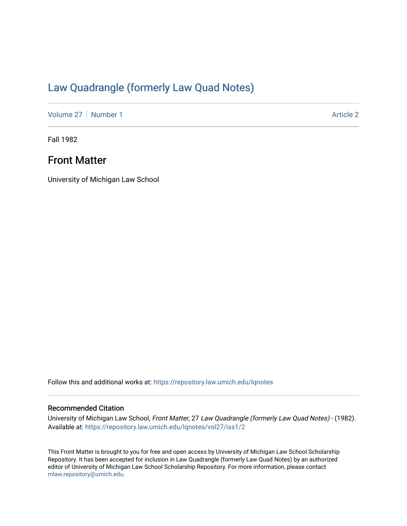# [Law Quadrangle \(formerly Law Quad Notes\)](https://repository.law.umich.edu/lqnotes)

[Volume 27](https://repository.law.umich.edu/lqnotes/vol27) | [Number 1](https://repository.law.umich.edu/lqnotes/vol27/iss1) Article 2

Fall 1982

## Front Matter

University of Michigan Law School

Follow this and additional works at: [https://repository.law.umich.edu/lqnotes](https://repository.law.umich.edu/lqnotes?utm_source=repository.law.umich.edu%2Flqnotes%2Fvol27%2Fiss1%2F2&utm_medium=PDF&utm_campaign=PDFCoverPages) 

### Recommended Citation

University of Michigan Law School, Front Matter, 27 Law Quadrangle (formerly Law Quad Notes) - (1982). Available at: [https://repository.law.umich.edu/lqnotes/vol27/iss1/2](https://repository.law.umich.edu/lqnotes/vol27/iss1/2?utm_source=repository.law.umich.edu%2Flqnotes%2Fvol27%2Fiss1%2F2&utm_medium=PDF&utm_campaign=PDFCoverPages) 

This Front Matter is brought to you for free and open access by University of Michigan Law School Scholarship Repository. It has been accepted for inclusion in Law Quadrangle (formerly Law Quad Notes) by an authorized editor of University of Michigan Law School Scholarship Repository. For more information, please contact [mlaw.repository@umich.edu.](mailto:mlaw.repository@umich.edu)